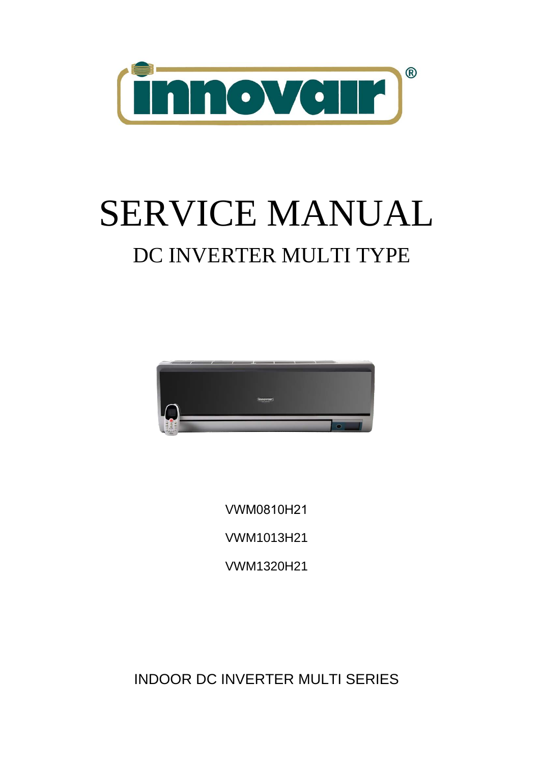

# SERVICE MANUAL DC INVERTER MULTI TYPE



VWM0810H21 VWM1013H21 VWM1320H21

INDOOR DC INVERTER MULTI SERIES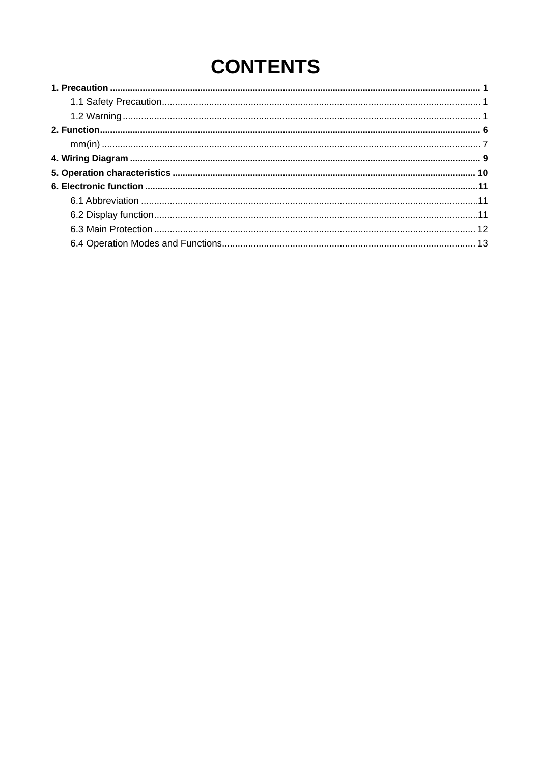# **CONTENTS**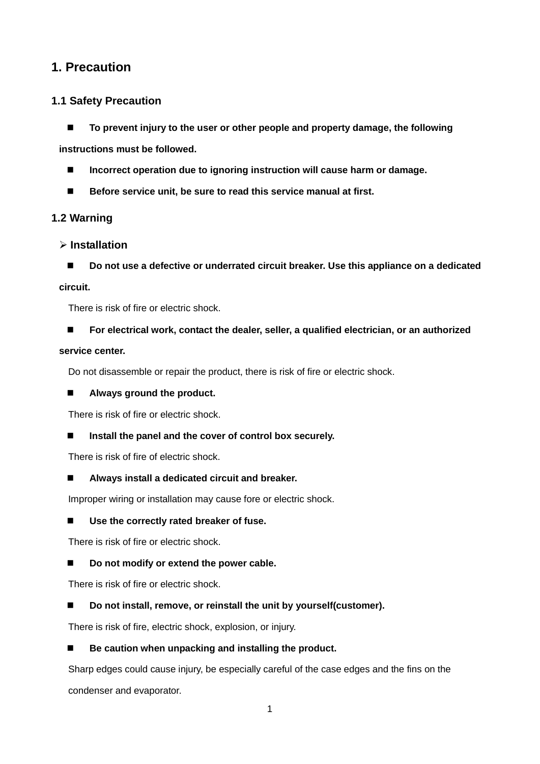# <span id="page-2-0"></span>**1. Precaution**

#### <span id="page-2-1"></span>**1.1 Safety Precaution**

■ To prevent injury to the user or other people and property damage, the following

**instructions must be followed.**

- Incorrect operation due to ignoring instruction will cause harm or damage.
- Before service unit, be sure to read this service manual at first.

### <span id="page-2-2"></span>**1.2 Warning**

#### **Installation**

■ Do not use a defective or underrated circuit breaker. Use this appliance on a dedicated

#### **circuit.**

There is risk of fire or electric shock.

**For electrical work, contact the dealer, seller, a qualified electrician, or an authorized** 

#### **service center.**

Do not disassemble or repair the product, there is risk of fire or electric shock.

#### **Always ground the product.**

There is risk of fire or electric shock.

#### **Install the panel and the cover of control box securely.**

There is risk of fire of electric shock.

**Always install a dedicated circuit and breaker.**

Improper wiring or installation may cause fore or electric shock.

#### **Use the correctly rated breaker of fuse.**

There is risk of fire or electric shock.

#### ■ Do not modify or extend the power cable.

There is risk of fire or electric shock.

■ Do not install, remove, or reinstall the unit by yourself(customer).

There is risk of fire, electric shock, explosion, or injury.

#### ■ Be caution when unpacking and installing the product.

Sharp edges could cause injury, be especially careful of the case edges and the fins on the condenser and evaporator.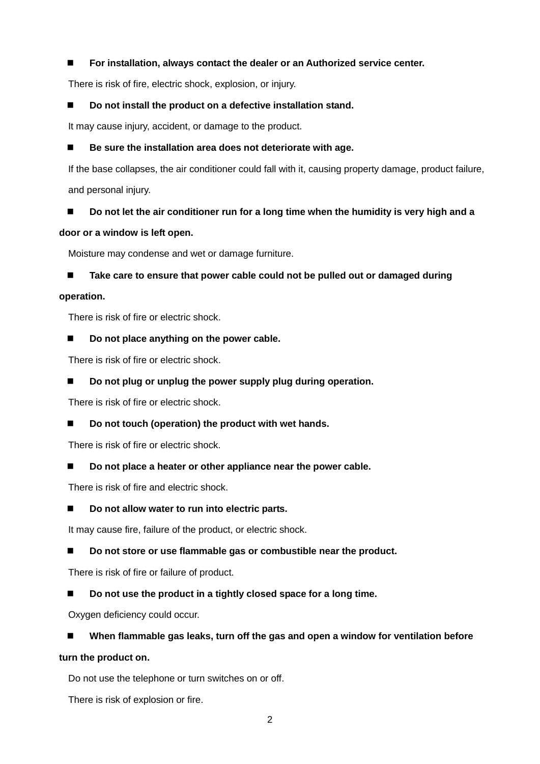#### **For installation, always contact the dealer or an Authorized service center.**

There is risk of fire, electric shock, explosion, or injury.

#### ■ Do not install the product on a defective installation stand.

It may cause injury, accident, or damage to the product.

#### ■ Be sure the installation area does not deteriorate with age.

If the base collapses, the air conditioner could fall with it, causing property damage, product failure, and personal injury.

#### ■ Do not let the air conditioner run for a long time when the humidity is very high and a

#### **door or a window is left open.**

Moisture may condense and wet or damage furniture.

■ Take care to ensure that power cable could not be pulled out or damaged during

#### **operation.**

There is risk of fire or electric shock.

#### ■ Do not place anything on the power cable.

There is risk of fire or electric shock.

#### ■ Do not plug or unplug the power supply plug during operation.

There is risk of fire or electric shock.

#### ■ Do not touch (operation) the product with wet hands.

There is risk of fire or electric shock.

#### ■ Do not place a heater or other appliance near the power cable.

There is risk of fire and electric shock.

#### ■ Do not allow water to run into electric parts.

It may cause fire, failure of the product, or electric shock.

#### ■ Do not store or use flammable gas or combustible near the product.

There is risk of fire or failure of product.

#### ■ Do not use the product in a tightly closed space for a long time.

Oxygen deficiency could occur.

#### ■ When flammable gas leaks, turn off the gas and open a window for ventilation before

#### **turn the product on.**

Do not use the telephone or turn switches on or off.

There is risk of explosion or fire.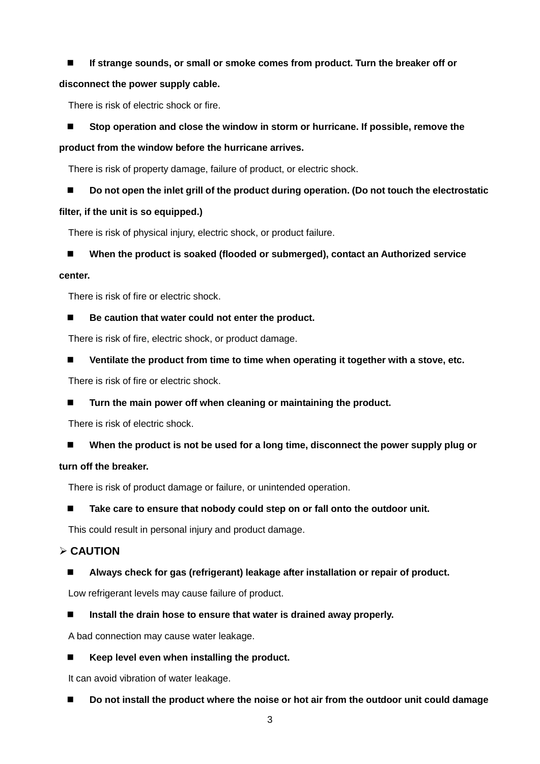#### **If strange sounds, or small or smoke comes from product. Turn the breaker off or**

#### **disconnect the power supply cable.**

There is risk of electric shock or fire.

#### ■ Stop operation and close the window in storm or hurricane. If possible, remove the

#### **product from the window before the hurricane arrives.**

There is risk of property damage, failure of product, or electric shock.

#### ■ Do not open the inlet grill of the product during operation. (Do not touch the electrostatic

#### **filter, if the unit is so equipped.)**

There is risk of physical injury, electric shock, or product failure.

#### ■ When the product is soaked (flooded or submerged), contact an Authorized service

#### **center.**

There is risk of fire or electric shock.

#### ■ Be caution that water could not enter the product.

There is risk of fire, electric shock, or product damage.

**Ventilate the product from time to time when operating it together with a stove, etc.**

There is risk of fire or electric shock.

■ Turn the main power off when cleaning or maintaining the product.

There is risk of electric shock.

■ When the product is not be used for a long time, disconnect the power supply plug or

#### **turn off the breaker.**

There is risk of product damage or failure, or unintended operation.

#### **Take care to ensure that nobody could step on or fall onto the outdoor unit.**

This could result in personal injury and product damage.

#### **CAUTION**

**Always check for gas (refrigerant) leakage after installation or repair of product.**

Low refrigerant levels may cause failure of product.

**Install the drain hose to ensure that water is drained away properly.**

A bad connection may cause water leakage.

■ Keep level even when installing the product.

It can avoid vibration of water leakage.

■ Do not install the product where the noise or hot air from the outdoor unit could damage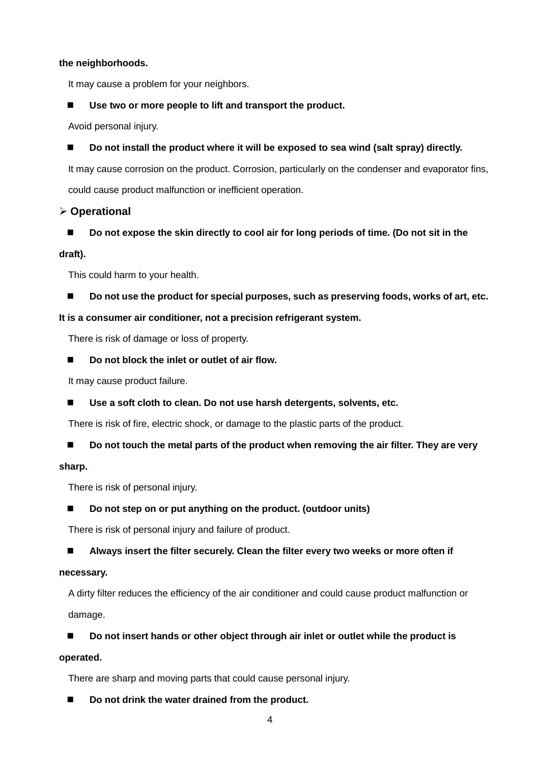#### **the neighborhoods.**

It may cause a problem for your neighbors.

#### ■ Use two or more people to lift and transport the product.

Avoid personal injury.

■ Do not install the product where it will be exposed to sea wind (salt spray) directly.

It may cause corrosion on the product. Corrosion, particularly on the condenser and evaporator fins, could cause product malfunction or inefficient operation.

#### **Operational**

■ Do not expose the skin directly to cool air for long periods of time. (Do not sit in the

#### **draft).**

This could harm to your health.

■ Do not use the product for special purposes, such as preserving foods, works of art, etc.

#### **It is a consumer air conditioner, not a precision refrigerant system.**

There is risk of damage or loss of property.

■ Do not block the inlet or outlet of air flow.

It may cause product failure.

■ Use a soft cloth to clean. Do not use harsh detergents, solvents, etc.

There is risk of fire, electric shock, or damage to the plastic parts of the product.

#### ■ Do not touch the metal parts of the product when removing the air filter. They are very

#### **sharp.**

There is risk of personal injury.

#### ■ Do not step on or put anything on the product. (outdoor units)

There is risk of personal injury and failure of product.

#### **Always insert the filter securely. Clean the filter every two weeks or more often if**

#### **necessary.**

A dirty filter reduces the efficiency of the air conditioner and could cause product malfunction or damage.

#### ■ Do not insert hands or other object through air inlet or outlet while the product is

#### **operated.**

There are sharp and moving parts that could cause personal injury.

■ Do not drink the water drained from the product.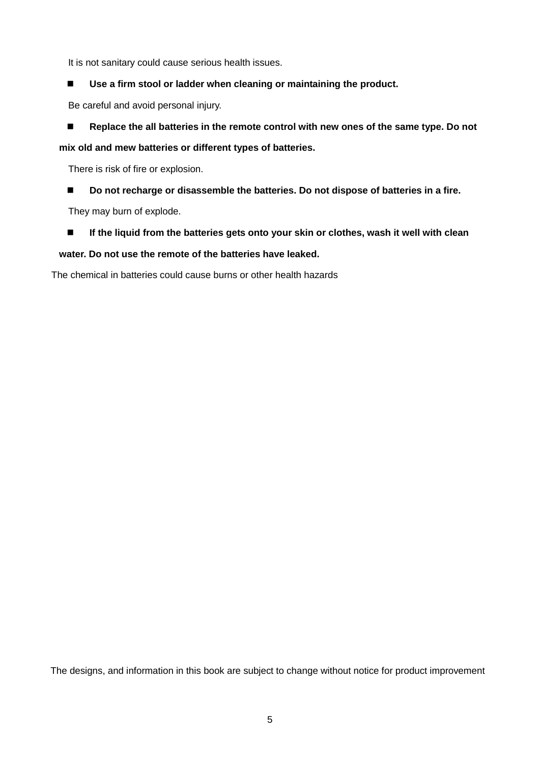It is not sanitary could cause serious health issues.

**Use a firm stool or ladder when cleaning or maintaining the product.**

Be careful and avoid personal injury.

■ Replace the all batteries in the remote control with new ones of the same type. Do not

**mix old and mew batteries or different types of batteries.**

There is risk of fire or explosion.

■ Do not recharge or disassemble the batteries. Do not dispose of batteries in a fire.

They may burn of explode.

■ If the liquid from the batteries gets onto your skin or clothes, wash it well with clean

#### **water. Do not use the remote of the batteries have leaked.**

The chemical in batteries could cause burns or other health hazards

The designs, and information in this book are subject to change without notice for product improvement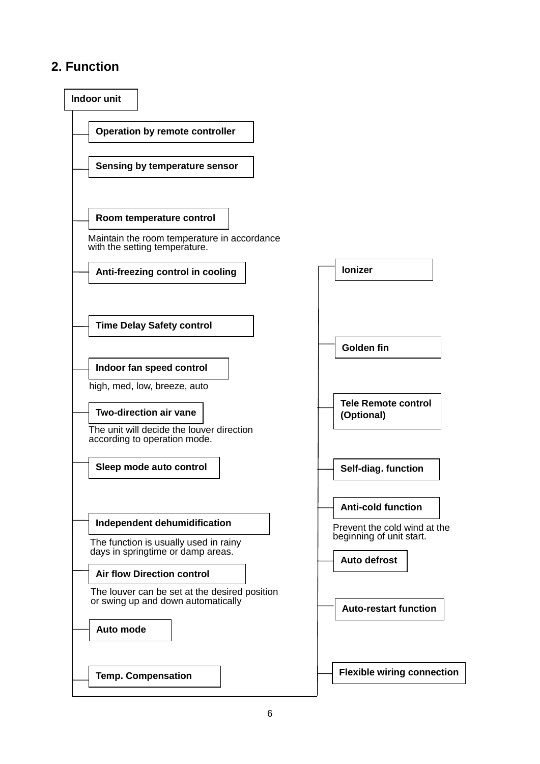# <span id="page-7-0"></span>**2. Function**

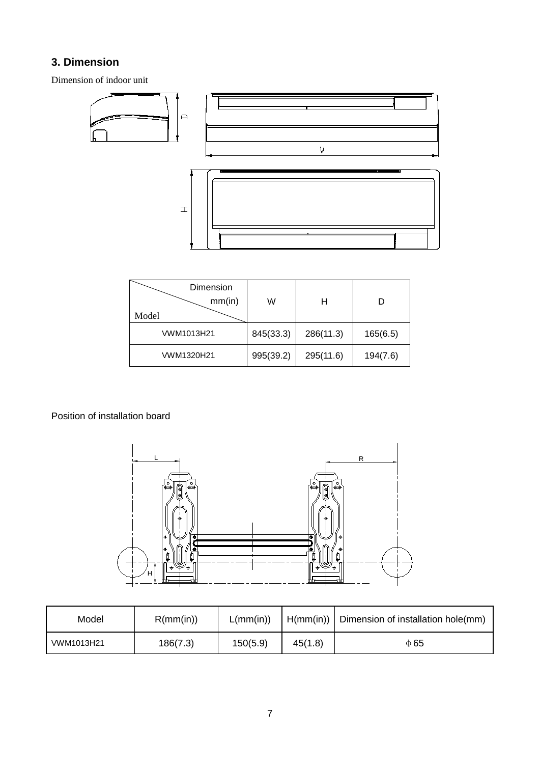## **3. Dimension**

Dimension of indoor unit



<span id="page-8-0"></span>

| Dimension<br>mm(in)<br>Model | W         | н         |          |
|------------------------------|-----------|-----------|----------|
| VWM1013H21                   | 845(33.3) | 286(11.3) | 165(6.5) |
| VWM1320H21                   | 995(39.2) | 295(11.6) | 194(7.6) |

Position of installation board



| Model      | R(mm(in)) | L(mm(in)) |         | $H(mm(in))$ Dimension of installation hole(mm) |  |
|------------|-----------|-----------|---------|------------------------------------------------|--|
| VWM1013H21 | 186(7.3)  | 150(5.9)  | 45(1.8) | $\Phi$ 65                                      |  |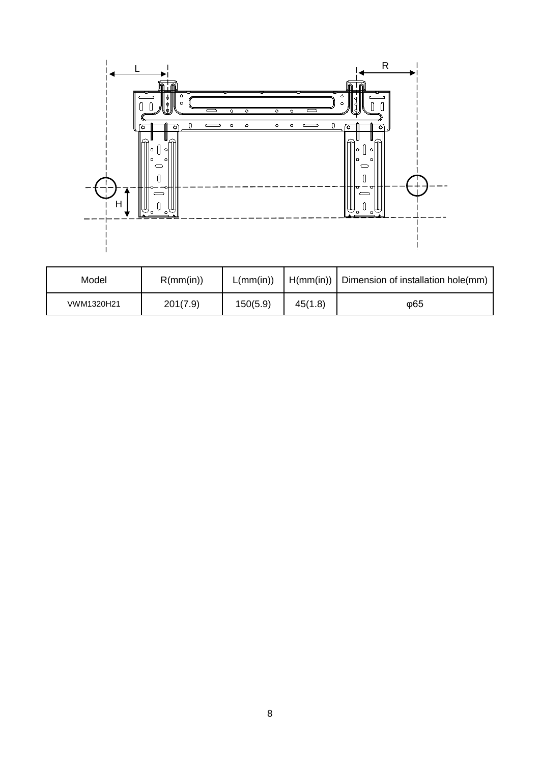

| Model      | R(mm(in)) | L(mm(in)) |         | $H(mm(in))$ Dimension of installation hole(mm) |
|------------|-----------|-----------|---------|------------------------------------------------|
| VWM1320H21 | 201(7.9)  | 150(5.9)  | 45(1.8) | φ65                                            |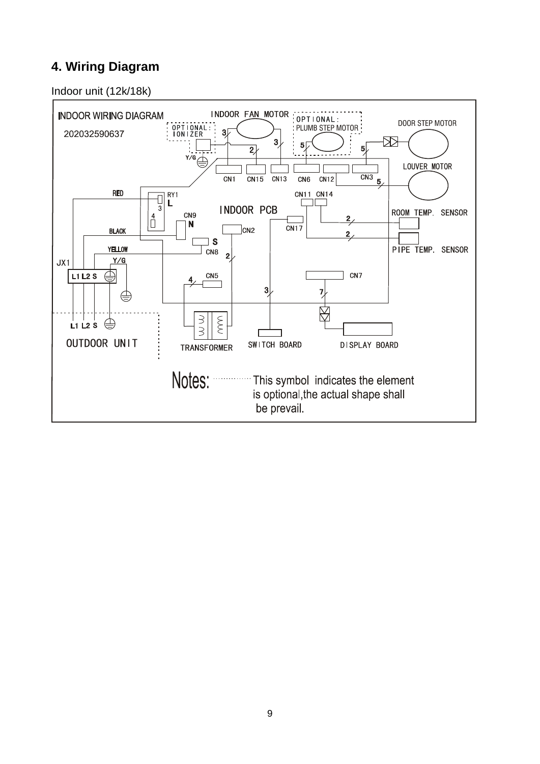# <span id="page-10-0"></span>**4. Wiring Diagram**

Indoor unit (12k/18k)

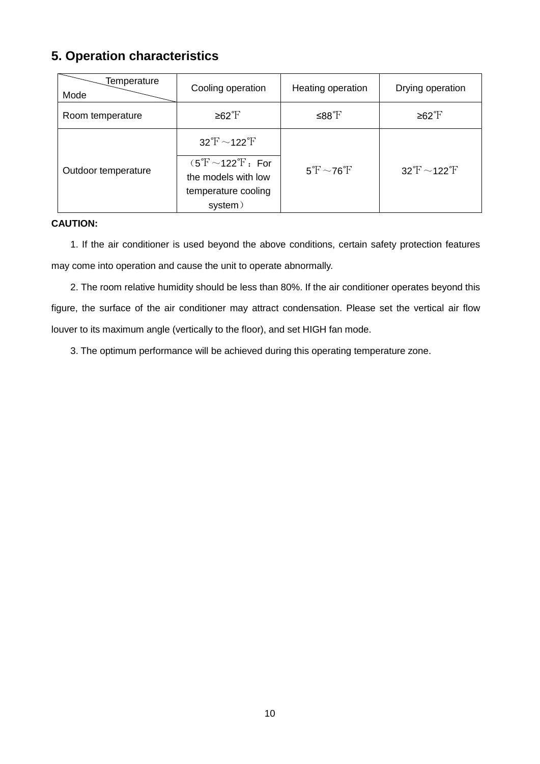# <span id="page-11-0"></span>**5. Operation characteristics**

| Temperature<br>Mode | Cooling operation                                                                                                                   | Heating operation                                           | Drying operation               |
|---------------------|-------------------------------------------------------------------------------------------------------------------------------------|-------------------------------------------------------------|--------------------------------|
| Room temperature    | ≥62 $\mathrm{F}$                                                                                                                    | ≤88°F                                                       | $≥62^{\circ}$ F                |
| Outdoor temperature | $32 \text{°F} \sim 122 \text{°F}$<br>$(5^{\circ}$ F ~122 $^{\circ}$ F: For<br>the models with low<br>temperature cooling<br>system) | $5\text{ }^{\circ}\text{F} \sim 76\text{ }^{\circ}\text{F}$ | $32\text{°F}$ ~122 $\text{°F}$ |

#### **CAUTION:**

1. If the air conditioner is used beyond the above conditions, certain safety protection features may come into operation and cause the unit to operate abnormally.

2. The room relative humidity should be less than 80%. If the air conditioner operates beyond this figure, the surface of the air conditioner may attract condensation. Please set the vertical air flow louver to its maximum angle (vertically to the floor), and set HIGH fan mode.

3. The optimum performance will be achieved during this operating temperature zone.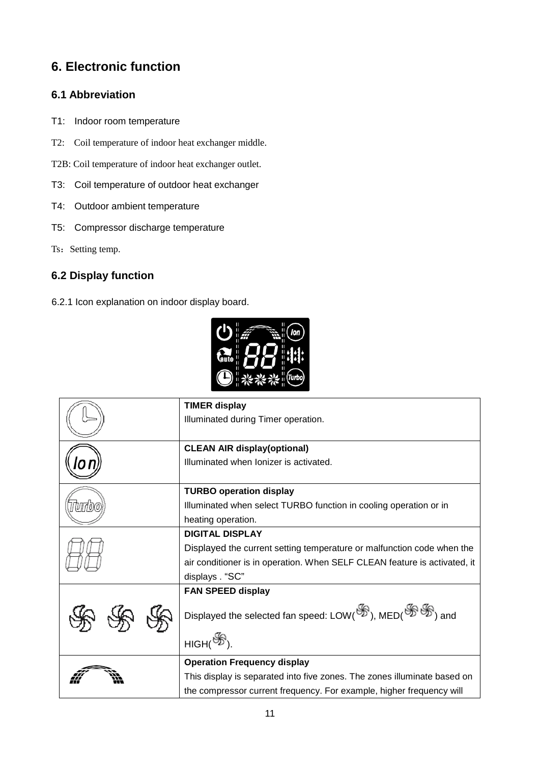# <span id="page-12-0"></span>**6. Electronic function**

#### <span id="page-12-1"></span>**6.1 Abbreviation**

- T1: Indoor room temperature
- T2: Coil temperature of indoor heat exchanger middle.
- T2B: Coil temperature of indoor heat exchanger outlet.
- T3: Coil temperature of outdoor heat exchanger
- T4: Outdoor ambient temperature
- T5: Compressor discharge temperature
- Ts: Setting temp.

#### <span id="page-12-2"></span>**6.2 Display function**

6.2.1 Icon explanation on indoor display board.



| <b>TIMER display</b>                                                      |
|---------------------------------------------------------------------------|
| Illuminated during Timer operation.                                       |
|                                                                           |
| <b>CLEAN AIR display(optional)</b>                                        |
| Illuminated when Ionizer is activated.                                    |
|                                                                           |
| <b>TURBO operation display</b>                                            |
| Illuminated when select TURBO function in cooling operation or in         |
| heating operation.                                                        |
| <b>DIGITAL DISPLAY</b>                                                    |
| Displayed the current setting temperature or malfunction code when the    |
| air conditioner is in operation. When SELF CLEAN feature is activated, it |
| displays. "SC"                                                            |
| <b>FAN SPEED display</b>                                                  |
| Displayed the selected fan speed: LOW(S), MED(SS) and                     |
| $HIGH(\mathscr{F}).$                                                      |
| <b>Operation Frequency display</b>                                        |
| This display is separated into five zones. The zones illuminate based on  |
| the compressor current frequency. For example, higher frequency will      |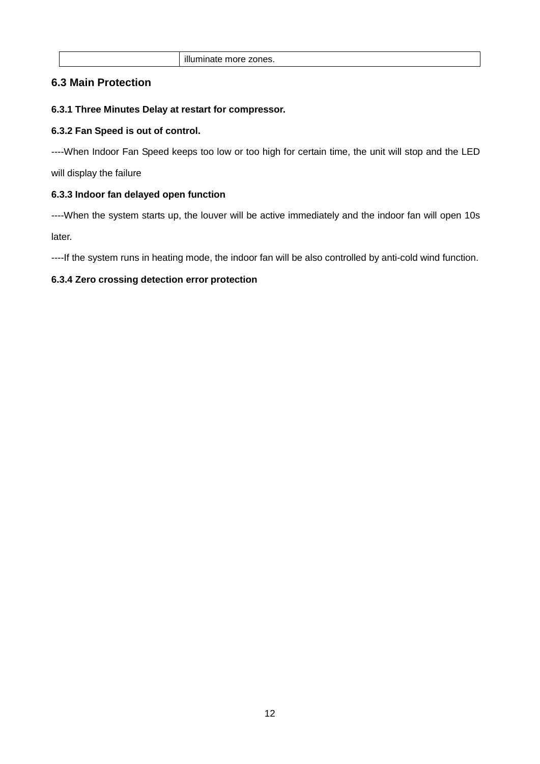#### <span id="page-13-0"></span>**6.3 Main Protection**

#### **6.3.1 Three Minutes Delay at restart for compressor.**

#### **6.3.2 Fan Speed is out of control.**

----When Indoor Fan Speed keeps too low or too high for certain time, the unit will stop and the LED will display the failure

#### **6.3.3 Indoor fan delayed open function**

----When the system starts up, the louver will be active immediately and the indoor fan will open 10s later.

----If the system runs in heating mode, the indoor fan will be also controlled by anti-cold wind function.

#### **6.3.4 Zero crossing detection error protection**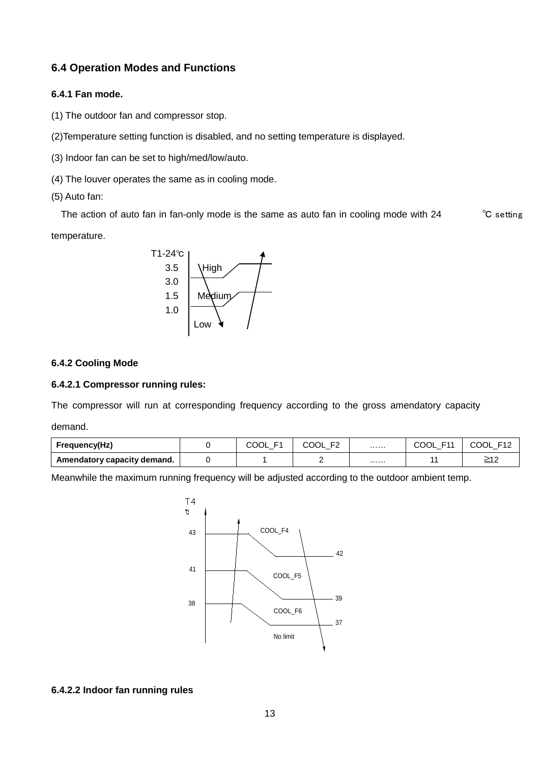#### <span id="page-14-0"></span>**6.4 Operation Modes and Functions**

#### **6.4.1 Fan mode.**

- (1) The outdoor fan and compressor stop.
- (2)Temperature setting function is disabled, and no setting temperature is displayed.
- (3) Indoor fan can be set to high/med/low/auto.
- (4) The louver operates the same as in cooling mode.
- (5) Auto fan:

The action of auto fan in fan-only mode is the same as auto fan in cooling mode with 24 <sup>°</sup>C setting temperature.



#### **6.4.2 Cooling Mode**

#### **6.4.2.1 Compressor running rules:**

The compressor will run at corresponding frequency according to the gross amendatory capacity

demand.

| <b>Frequency(Hz)</b>        | - 1<br>COOL | COOL |   | COOL<br>E44 | COOL<br>F12 |  |
|-----------------------------|-------------|------|---|-------------|-------------|--|
| Amendatory capacity demand. |             |      | . |             | ≧12         |  |

Meanwhile the maximum running frequency will be adjusted according to the outdoor ambient temp.



#### **6.4.2.2 Indoor fan running rules**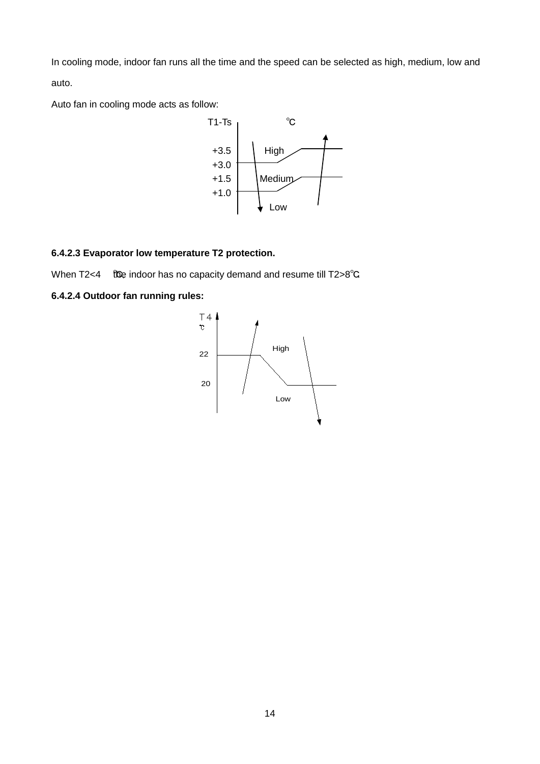In cooling mode, indoor fan runs all the time and the speed can be selected as high, medium, low and auto.

Auto fan in cooling mode acts as follow:



#### **6.4.2.3 Evaporator low temperature T2 protection.**

When T2<4  $\text{t}$  fo indoor has no capacity demand and resume till T2>8°C.

#### **6.4.2.4 Outdoor fan running rules:**

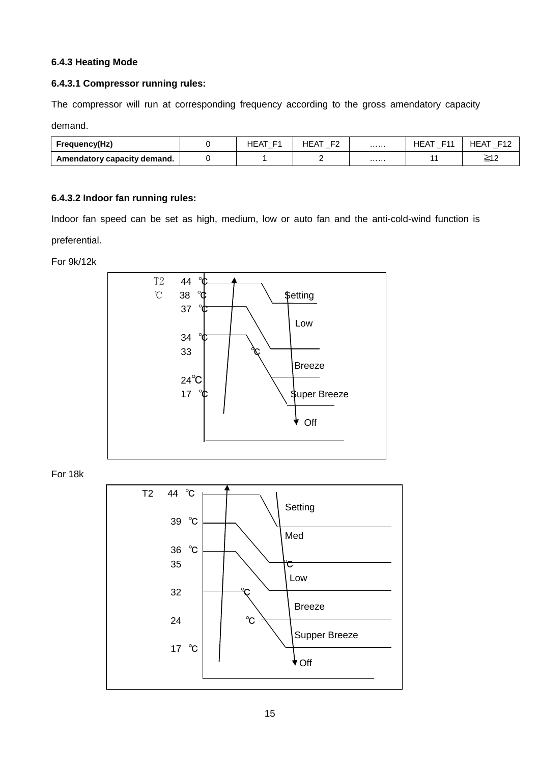#### **6.4.3 Heating Mode**

#### **6.4.3.1 Compressor running rules:**

The compressor will run at corresponding frequency according to the gross amendatory capacity

demand.

| <b>Frequency(Hz)</b>        | HEA | HEAT |   | HEA<br>ᆮ | 耳1つ<br>HEA.<br>. . |
|-----------------------------|-----|------|---|----------|--------------------|
| Amendatory capacity demand. |     |      | . |          | >⊿ ∩<br>⊾ت         |

#### **6.4.3.2 Indoor fan running rules:**

Indoor fan speed can be set as high, medium, low or auto fan and the anti-cold-wind function is preferential.

For 9k/12k



For 18k

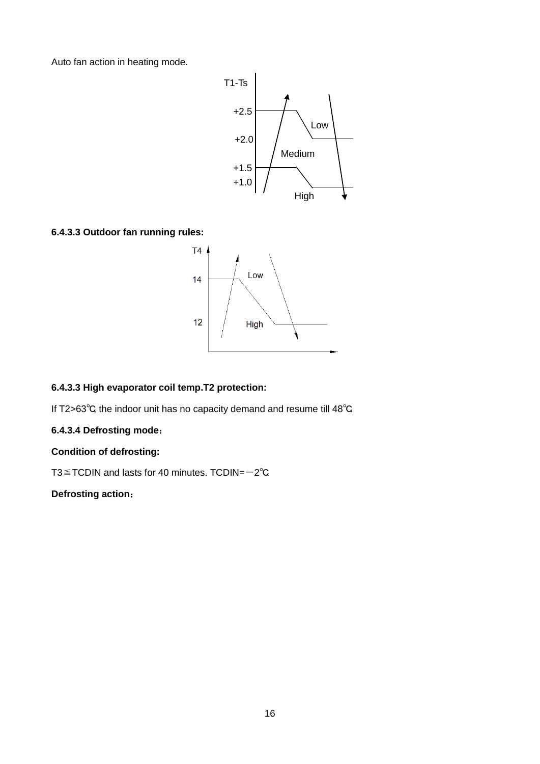Auto fan action in heating mode.



**6.4.3.3 Outdoor fan running rules:**



#### **6.4.3.3 High evaporator coil temp.T2 protection:**

If T2>63℃, the indoor unit has no capacity demand and resume till 48℃.

#### **6.4.3.4 Defrosting mode**:

#### **Condition of defrosting:**

T3≦TCDIN and lasts for 40 minutes. TCDIN=-2℃.

#### **Defrosting action**: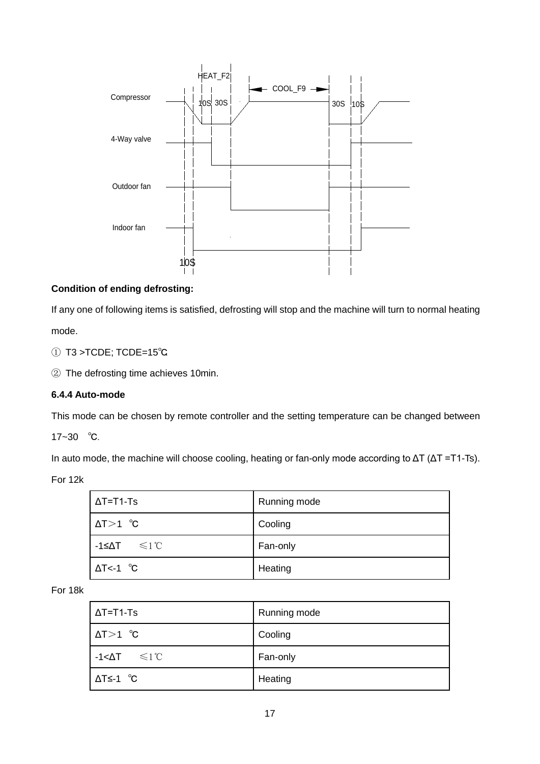

#### **Condition of ending defrosting:**

If any one of following items is satisfied, defrosting will stop and the machine will turn to normal heating

mode.

- ① T3 >TCDE; TCDE=15℃.
- ② The defrosting time achieves 10min.

#### **6.4.4 Auto-mode**

This mode can be chosen by remote controller and the setting temperature can be changed between

17~30 ℃.

In auto mode, the machine will choose cooling, heating or fan-only mode according to ΔT (ΔT =T1-Ts).

For 12k

| $\Delta T = T1-Ts$            | Running mode |
|-------------------------------|--------------|
| $\Delta T > 1$ °C             | Cooling      |
| $-1$ ≤ $\Delta T$ $\leq 1$ °C | Fan-only     |
| $\Delta T$ <-1 °C             | Heating      |

For 18k

| l ΔT=T1-Ts                         | Running mode |
|------------------------------------|--------------|
| $\Delta T > 1$ °C                  | Cooling      |
| $-1 < \Delta T$ $\leq 1 \degree C$ | Fan-only     |
| l ΔT≤-1 °C                         | Heating      |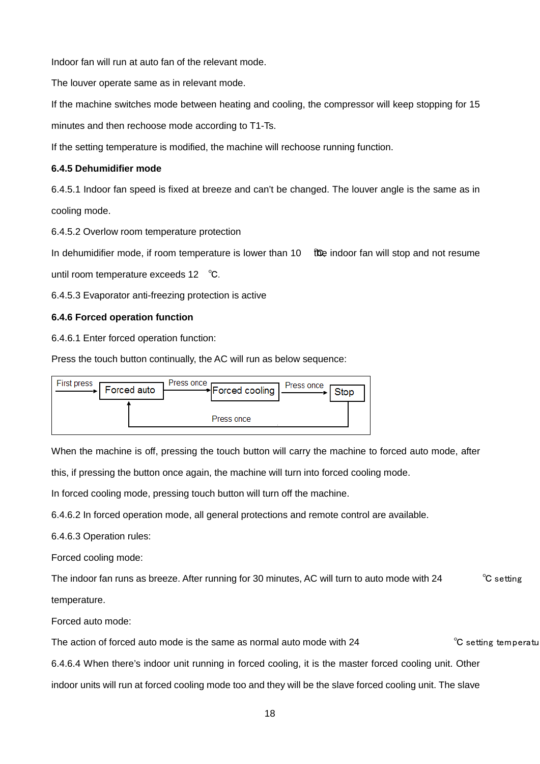Indoor fan will run at auto fan of the relevant mode.

The louver operate same as in relevant mode.

If the machine switches mode between heating and cooling, the compressor will keep stopping for 15

minutes and then rechoose mode according to T1-Ts.

If the setting temperature is modified, the machine will rechoose running function.

#### **6.4.5 Dehumidifier mode**

6.4.5.1 Indoor fan speed is fixed at breeze and can't be changed. The louver angle is the same as in cooling mode.

6.4.5.2 Overlow room temperature protection

In dehumidifier mode, if room temperature is lower than 10 *℃*the indoor fan will stop and not resume

until room temperature exceeds 12 ℃.

6.4.5.3 Evaporator anti-freezing protection is active

#### **6.4.6 Forced operation function**

6.4.6.1 Enter forced operation function:

Press the touch button continually, the AC will run as below sequence:



When the machine is off, pressing the touch button will carry the machine to forced auto mode, after

this, if pressing the button once again, the machine will turn into forced cooling mode.

In forced cooling mode, pressing touch button will turn off the machine.

6.4.6.2 In forced operation mode, all general protections and remote control are available.

6.4.6.3 Operation rules:

Forced cooling mode:

The indoor fan runs as breeze. After running for 30 minutes, AC will turn to auto mode with 24 <sup>°</sup>C setting temperature.

Forced auto mode:

The action of forced auto mode is the same as normal auto mode with  $24 \sim$ <sup>c</sup>C setting temperatu

6.4.6.4 When there's indoor unit running in forced cooling, it is the master forced cooling unit. Other

indoor units will run at forced cooling mode too and they will be the slave forced cooling unit. The slave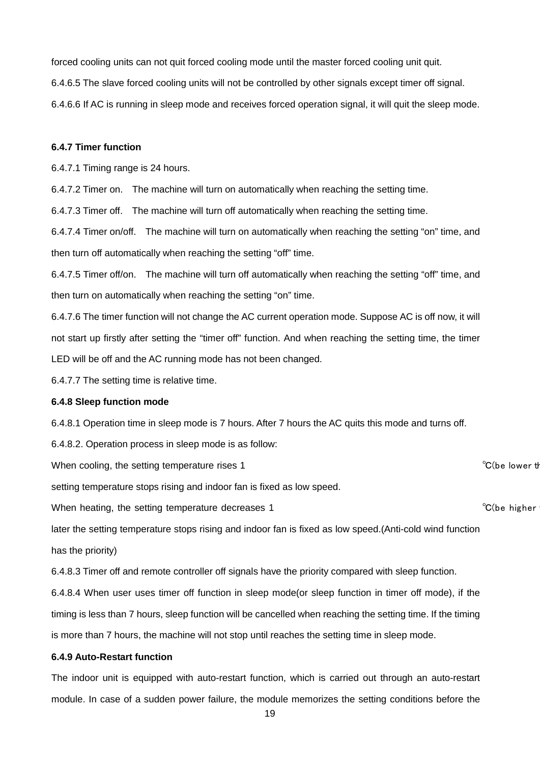forced cooling units can not quit forced cooling mode until the master forced cooling unit quit.

6.4.6.5 The slave forced cooling units will not be controlled by other signals except timer off signal.

6.4.6.6 If AC is running in sleep mode and receives forced operation signal, it will quit the sleep mode.

#### **6.4.7 Timer function**

6.4.7.1 Timing range is 24 hours.

6.4.7.2 Timer on. The machine will turn on automatically when reaching the setting time.

6.4.7.3 Timer off. The machine will turn off automatically when reaching the setting time.

6.4.7.4 Timer on/off. The machine will turn on automatically when reaching the setting "on" time, and then turn off automatically when reaching the setting "off" time.

6.4.7.5 Timer off/on. The machine will turn off automatically when reaching the setting "off" time, and then turn on automatically when reaching the setting "on" time.

6.4.7.6 The timer function will not change the AC current operation mode. Suppose AC is off now, it will not start up firstly after setting the "timer off" function. And when reaching the setting time, the timer LED will be off and the AC running mode has not been changed.

6.4.7.7 The setting time is relative time.

#### **6.4.8 Sleep function mode**

6.4.8.1 Operation time in sleep mode is 7 hours. After 7 hours the AC quits this mode and turns off.

6.4.8.2. Operation process in sleep mode is as follow:

When cooling, the setting temperature rises 1  $\degree$ C(be lower the setting temperature rises 1

setting temperature stops rising and indoor fan is fixed as low speed.

When heating, the setting temperature decreases 1  $^{\circ}C$  (be higher

later the setting temperature stops rising and indoor fan is fixed as low speed.(Anti-cold wind function

has the priority)

6.4.8.3 Timer off and remote controller off signals have the priority compared with sleep function.

6.4.8.4 When user uses timer off function in sleep mode(or sleep function in timer off mode), if the

timing is less than 7 hours, sleep function will be cancelled when reaching the setting time. If the timing

is more than 7 hours, the machine will not stop until reaches the setting time in sleep mode.

#### **6.4.9 Auto-Restart function**

The indoor unit is equipped with auto-restart function, which is carried out through an auto-restart module. In case of a sudden power failure, the module memorizes the setting conditions before the